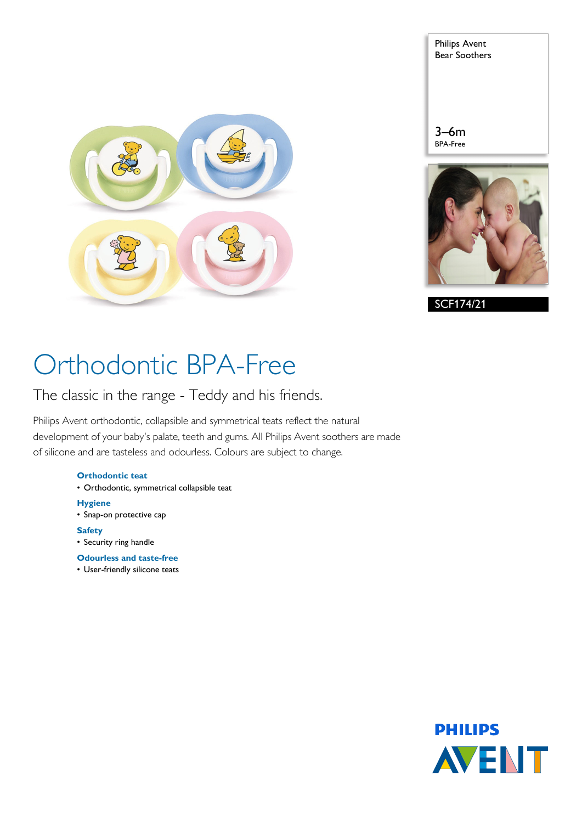

| <b>Philips Avent</b><br><b>Bear Soothers</b> |
|----------------------------------------------|
|                                              |
|                                              |
| $3 - 6m$                                     |
| <b>BPA-Free</b>                              |
|                                              |



SCF174/21

# Orthodontic BPA-Free

The classic in the range - Teddy and his friends.

Philips Avent orthodontic, collapsible and symmetrical teats reflect the natural development of your baby's palate, teeth and gums. All Philips Avent soothers are made of silicone and are tasteless and odourless. Colours are subject to change.

#### **Orthodontic teat**

- Orthodontic, symmetrical collapsible teat
- **Hygiene**
- Snap-on protective cap
- **Safety**
- Security ring handle
- **Odourless and taste-free**
- User-friendly silicone teats